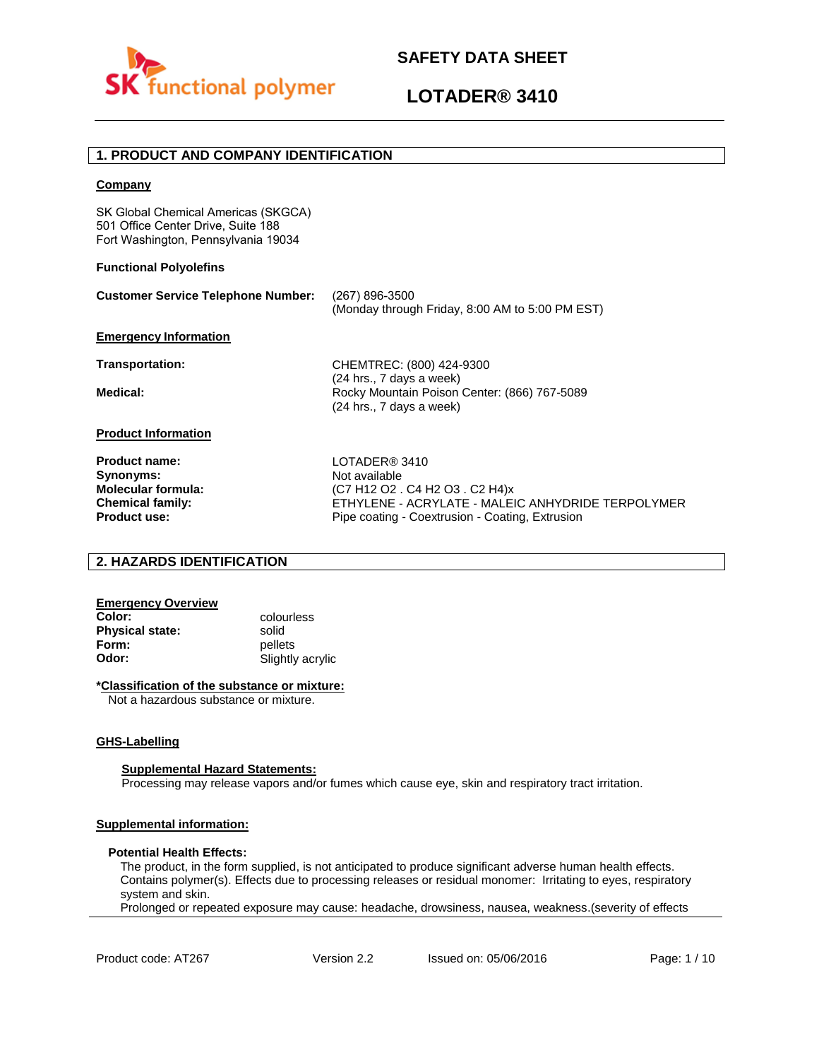



# **1. PRODUCT AND COMPANY IDENTIFICATION**

### **Company**

SK Global Chemical Americas (SKGCA) 501 Office Center Drive, Suite 188 Fort Washington, Pennsylvania 19034

### **Functional Polyolefins**

| <b>Customer Service Telephone Number:</b> | (267) 896-3500<br>(Monday through Friday, 8:00 AM to 5:00 PM EST)                                    |
|-------------------------------------------|------------------------------------------------------------------------------------------------------|
| <b>Emergency Information</b>              |                                                                                                      |
| <b>Transportation:</b>                    | CHEMTREC: (800) 424-9300                                                                             |
| Medical:                                  | (24 hrs., 7 days a week)<br>Rocky Mountain Poison Center: (866) 767-5089<br>(24 hrs., 7 days a week) |
| <b>Product Information</b>                |                                                                                                      |
| <b>Product name:</b>                      | LOTADER <sup>®</sup> 3410                                                                            |
| Synonyms:                                 | Not available                                                                                        |
| <b>Molecular formula:</b>                 | (C7 H12 O2 . C4 H2 O3 . C2 H4)x                                                                      |
| <b>Chemical family:</b>                   | ETHYLENE - ACRYLATE - MALEIC ANHYDRIDE TERPOLYMER                                                    |
| <b>Product use:</b>                       | Pipe coating - Coextrusion - Coating, Extrusion                                                      |

### **2. HAZARDS IDENTIFICATION**

# **Emergency Overview**

**Physical state:** solid<br> **Form:** nellet **Form:** pellets<br> **Odor:** Slightly

**Color:** colourless **Odor:** Slightly acrylic

#### **\*Classification of the substance or mixture:**

Not a hazardous substance or mixture.

#### **GHS-Labelling**

### **Supplemental Hazard Statements:**

Processing may release vapors and/or fumes which cause eye, skin and respiratory tract irritation.

### **Supplemental information:**

#### **Potential Health Effects:**

The product, in the form supplied, is not anticipated to produce significant adverse human health effects. Contains polymer(s). Effects due to processing releases or residual monomer: Irritating to eyes, respiratory system and skin.

Prolonged or repeated exposure may cause: headache, drowsiness, nausea, weakness.(severity of effects

Product code: AT267 Version 2.2 Issued on: 05/06/2016 Page: 1/10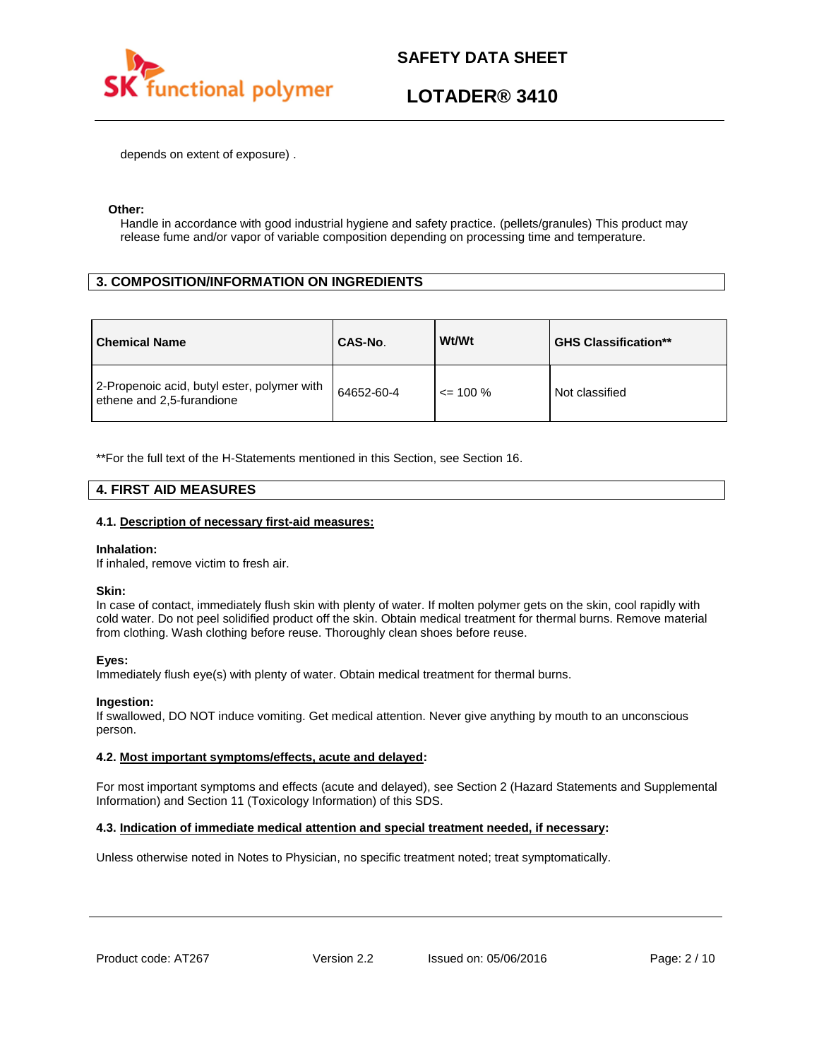

depends on extent of exposure) .

### **Other:**

Handle in accordance with good industrial hygiene and safety practice. (pellets/granules) This product may release fume and/or vapor of variable composition depending on processing time and temperature.

# **3. COMPOSITION/INFORMATION ON INGREDIENTS**

| <b>Chemical Name</b>                                                     | CAS-No.    | Wt/Wt        | <b>GHS Classification**</b> |
|--------------------------------------------------------------------------|------------|--------------|-----------------------------|
| 2-Propenoic acid, butyl ester, polymer with<br>ethene and 2,5-furandione | 64652-60-4 | $\leq$ 100 % | Not classified              |

\*\*For the full text of the H-Statements mentioned in this Section, see Section 16.

### **4. FIRST AID MEASURES**

### **4.1. Description of necessary first-aid measures:**

### **Inhalation:**

If inhaled, remove victim to fresh air.

### **Skin:**

In case of contact, immediately flush skin with plenty of water. If molten polymer gets on the skin, cool rapidly with cold water. Do not peel solidified product off the skin. Obtain medical treatment for thermal burns. Remove material from clothing. Wash clothing before reuse. Thoroughly clean shoes before reuse.

### **Eyes:**

Immediately flush eye(s) with plenty of water. Obtain medical treatment for thermal burns.

### **Ingestion:**

If swallowed, DO NOT induce vomiting. Get medical attention. Never give anything by mouth to an unconscious person.

### **4.2. Most important symptoms/effects, acute and delayed:**

For most important symptoms and effects (acute and delayed), see Section 2 (Hazard Statements and Supplemental Information) and Section 11 (Toxicology Information) of this SDS.

### **4.3. Indication of immediate medical attention and special treatment needed, if necessary:**

Unless otherwise noted in Notes to Physician, no specific treatment noted; treat symptomatically.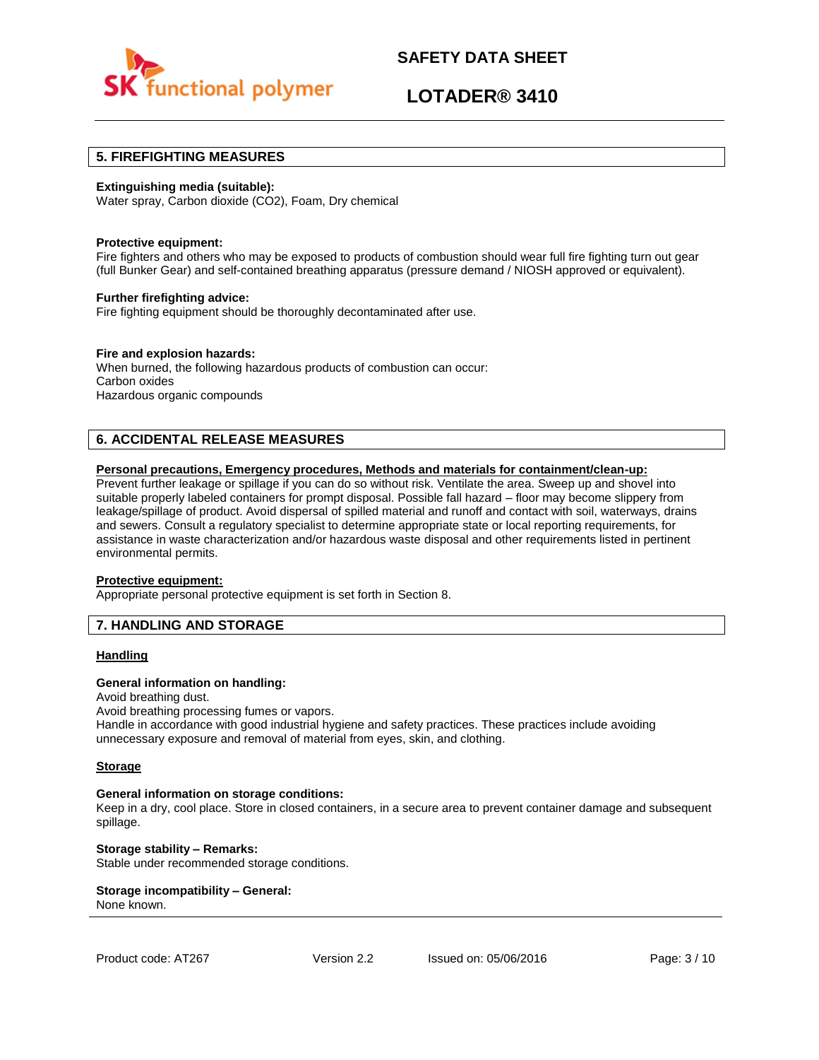

# **LOTADER® 3410**

### **5. FIREFIGHTING MEASURES**

### **Extinguishing media (suitable):**

Water spray, Carbon dioxide (CO2), Foam, Dry chemical

#### **Protective equipment:**

Fire fighters and others who may be exposed to products of combustion should wear full fire fighting turn out gear (full Bunker Gear) and self-contained breathing apparatus (pressure demand / NIOSH approved or equivalent).

### **Further firefighting advice:**

Fire fighting equipment should be thoroughly decontaminated after use.

### **Fire and explosion hazards:**

When burned, the following hazardous products of combustion can occur: Carbon oxides Hazardous organic compounds

# **6. ACCIDENTAL RELEASE MEASURES**

### **Personal precautions, Emergency procedures, Methods and materials for containment/clean-up:**

Prevent further leakage or spillage if you can do so without risk. Ventilate the area. Sweep up and shovel into suitable properly labeled containers for prompt disposal. Possible fall hazard – floor may become slippery from leakage/spillage of product. Avoid dispersal of spilled material and runoff and contact with soil, waterways, drains and sewers. Consult a regulatory specialist to determine appropriate state or local reporting requirements, for assistance in waste characterization and/or hazardous waste disposal and other requirements listed in pertinent environmental permits.

#### **Protective equipment:**

Appropriate personal protective equipment is set forth in Section 8.

### **7. HANDLING AND STORAGE**

### **Handling**

### **General information on handling:**

Avoid breathing dust.

Avoid breathing processing fumes or vapors.

Handle in accordance with good industrial hygiene and safety practices. These practices include avoiding unnecessary exposure and removal of material from eyes, skin, and clothing.

#### **Storage**

#### **General information on storage conditions:**

Keep in a dry, cool place. Store in closed containers, in a secure area to prevent container damage and subsequent spillage.

**Storage stability – Remarks:**  Stable under recommended storage conditions.

#### **Storage incompatibility – General:**  None known.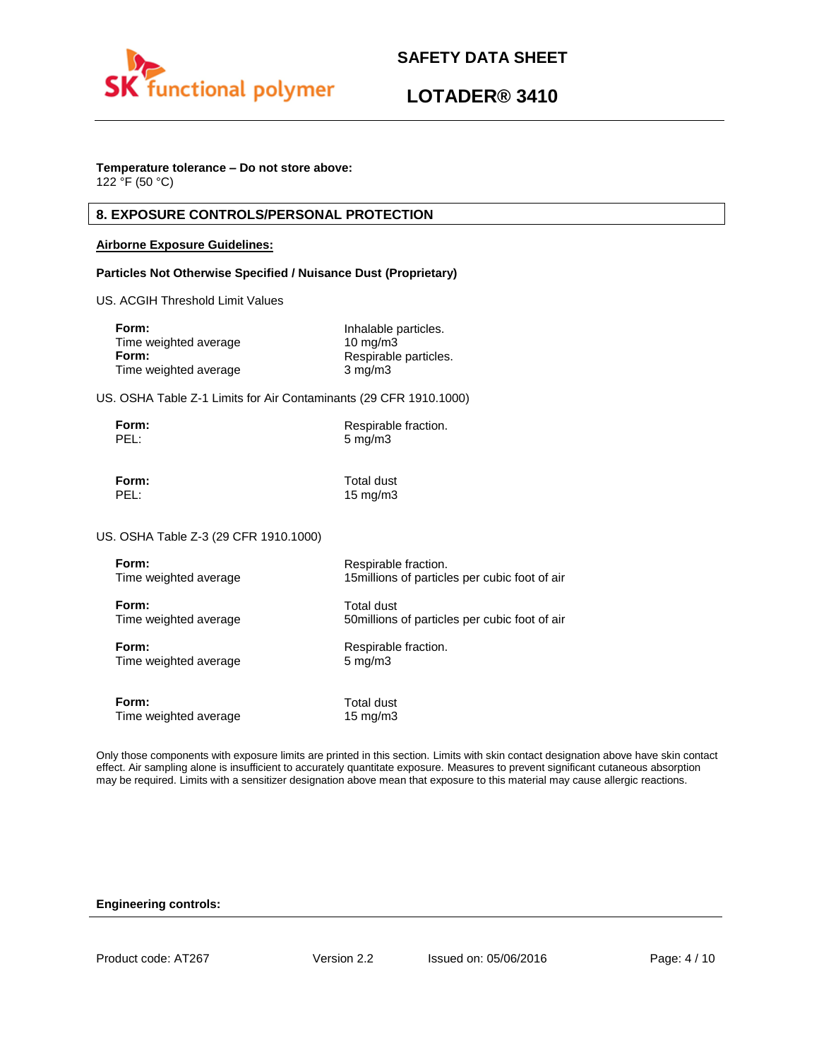



### **Temperature tolerance – Do not store above:**

122 °F (50 °C)

# **8. EXPOSURE CONTROLS/PERSONAL PROTECTION**

### **Airborne Exposure Guidelines:**

### **Particles Not Otherwise Specified / Nuisance Dust (Proprietary)**

US. ACGIH Threshold Limit Values

| Inhalable particles.  |
|-----------------------|
| $10 \text{ mg/m}$     |
| Respirable particles. |
| $3 \text{ mg/m}$      |
|                       |

US. OSHA Table Z-1 Limits for Air Contaminants (29 CFR 1910.1000)

| Form: | Respirable fraction. |
|-------|----------------------|
| PEL:  | $5 \,\mathrm{mg/m}$  |

**Form:** Total dust PEL: 15 mg/m3

US. OSHA Table Z-3 (29 CFR 1910.1000)

| Form:                 | Respirable fraction.                           |
|-----------------------|------------------------------------------------|
| Time weighted average | 15 millions of particles per cubic foot of air |
| Form:                 | Total dust                                     |
| Time weighted average | 50 millions of particles per cubic foot of air |
| Form:                 | Respirable fraction.                           |
| Time weighted average | $5 \text{ mg/m}$                               |
| Form:                 | Total dust                                     |
| Time weighted average | 15 $mg/m3$                                     |

Only those components with exposure limits are printed in this section. Limits with skin contact designation above have skin contact effect. Air sampling alone is insufficient to accurately quantitate exposure. Measures to prevent significant cutaneous absorption may be required. Limits with a sensitizer designation above mean that exposure to this material may cause allergic reactions.

### **Engineering controls:**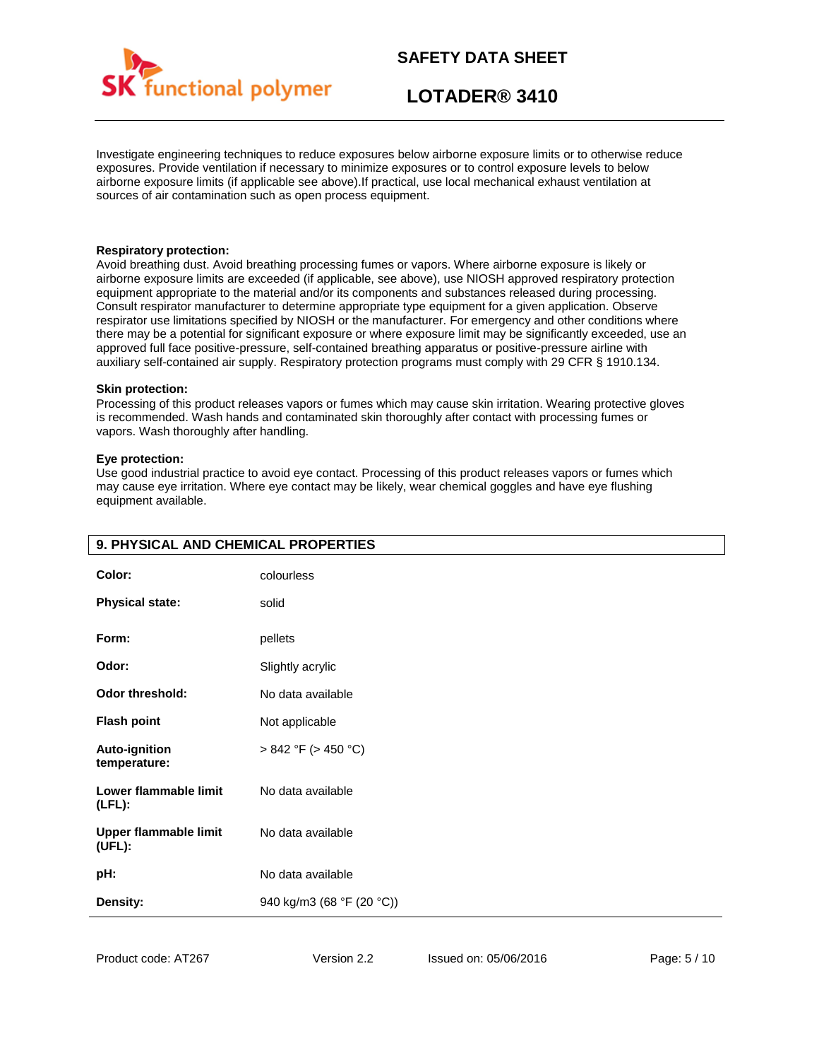

# **LOTADER® 3410**

Investigate engineering techniques to reduce exposures below airborne exposure limits or to otherwise reduce exposures. Provide ventilation if necessary to minimize exposures or to control exposure levels to below airborne exposure limits (if applicable see above).If practical, use local mechanical exhaust ventilation at sources of air contamination such as open process equipment.

### **Respiratory protection:**

Avoid breathing dust. Avoid breathing processing fumes or vapors. Where airborne exposure is likely or airborne exposure limits are exceeded (if applicable, see above), use NIOSH approved respiratory protection equipment appropriate to the material and/or its components and substances released during processing. Consult respirator manufacturer to determine appropriate type equipment for a given application. Observe respirator use limitations specified by NIOSH or the manufacturer. For emergency and other conditions where there may be a potential for significant exposure or where exposure limit may be significantly exceeded, use an approved full face positive-pressure, self-contained breathing apparatus or positive-pressure airline with auxiliary self-contained air supply. Respiratory protection programs must comply with 29 CFR § 1910.134.

#### **Skin protection:**

Processing of this product releases vapors or fumes which may cause skin irritation. Wearing protective gloves is recommended. Wash hands and contaminated skin thoroughly after contact with processing fumes or vapors. Wash thoroughly after handling.

### **Eye protection:**

Use good industrial practice to avoid eye contact. Processing of this product releases vapors or fumes which may cause eye irritation. Where eye contact may be likely, wear chemical goggles and have eye flushing equipment available.

| Color:                                 | colourless                |
|----------------------------------------|---------------------------|
| <b>Physical state:</b>                 | solid                     |
| Form:                                  | pellets                   |
| Odor:                                  | Slightly acrylic          |
| <b>Odor threshold:</b>                 | No data available         |
| <b>Flash point</b>                     | Not applicable            |
| <b>Auto-ignition</b><br>temperature:   | $> 842$ °F ( $> 450$ °C)  |
| Lower flammable limit<br>$(LFL)$ :     | No data available         |
| <b>Upper flammable limit</b><br>(UEL): | No data available         |
| pH:                                    | No data available         |
| Density:                               | 940 kg/m3 (68 °F (20 °C)) |

# **9. PHYSICAL AND CHEMICAL PROPERTIES**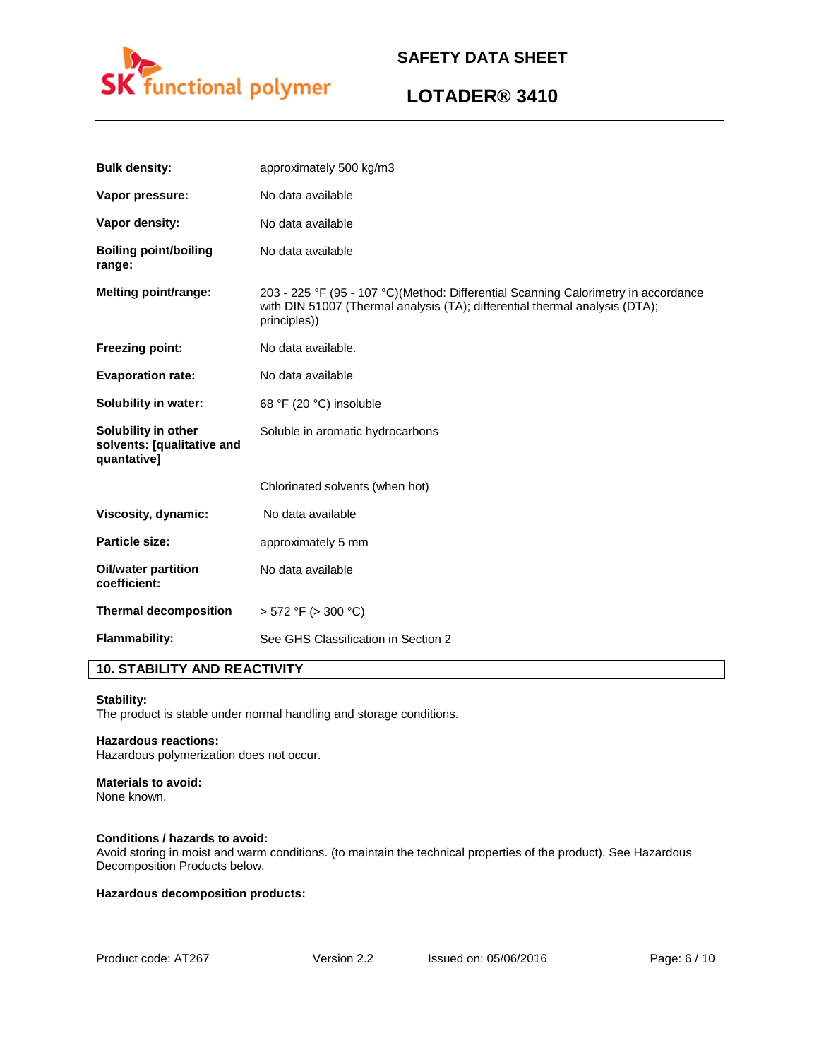

# **LOTADER® 3410**

| <b>Bulk density:</b>                                             | approximately 500 kg/m3                                                                                                                                                           |
|------------------------------------------------------------------|-----------------------------------------------------------------------------------------------------------------------------------------------------------------------------------|
| Vapor pressure:                                                  | No data available                                                                                                                                                                 |
| Vapor density:                                                   | No data available                                                                                                                                                                 |
| <b>Boiling point/boiling</b><br>range:                           | No data available                                                                                                                                                                 |
| <b>Melting point/range:</b>                                      | 203 - 225 °F (95 - 107 °C)(Method: Differential Scanning Calorimetry in accordance<br>with DIN 51007 (Thermal analysis (TA); differential thermal analysis (DTA);<br>principles)) |
| <b>Freezing point:</b>                                           | No data available.                                                                                                                                                                |
| <b>Evaporation rate:</b>                                         | No data available                                                                                                                                                                 |
| Solubility in water:                                             | 68 °F (20 °C) insoluble                                                                                                                                                           |
| Solubility in other<br>solvents: [qualitative and<br>quantative] | Soluble in aromatic hydrocarbons                                                                                                                                                  |
|                                                                  | Chlorinated solvents (when hot)                                                                                                                                                   |
| Viscosity, dynamic:                                              | No data available                                                                                                                                                                 |
| <b>Particle size:</b>                                            | approximately 5 mm                                                                                                                                                                |
| <b>Oil/water partition</b><br>coefficient:                       | No data available                                                                                                                                                                 |
| <b>Thermal decomposition</b>                                     | $>$ 572 °F ( $>$ 300 °C)                                                                                                                                                          |
| Flammability:                                                    | See GHS Classification in Section 2                                                                                                                                               |

# **10. STABILITY AND REACTIVITY**

#### **Stability:**

The product is stable under normal handling and storage conditions.

### **Hazardous reactions:**

Hazardous polymerization does not occur.

# **Materials to avoid:**

None known.

### **Conditions / hazards to avoid:**

Avoid storing in moist and warm conditions. (to maintain the technical properties of the product). See Hazardous Decomposition Products below.

### **Hazardous decomposition products:**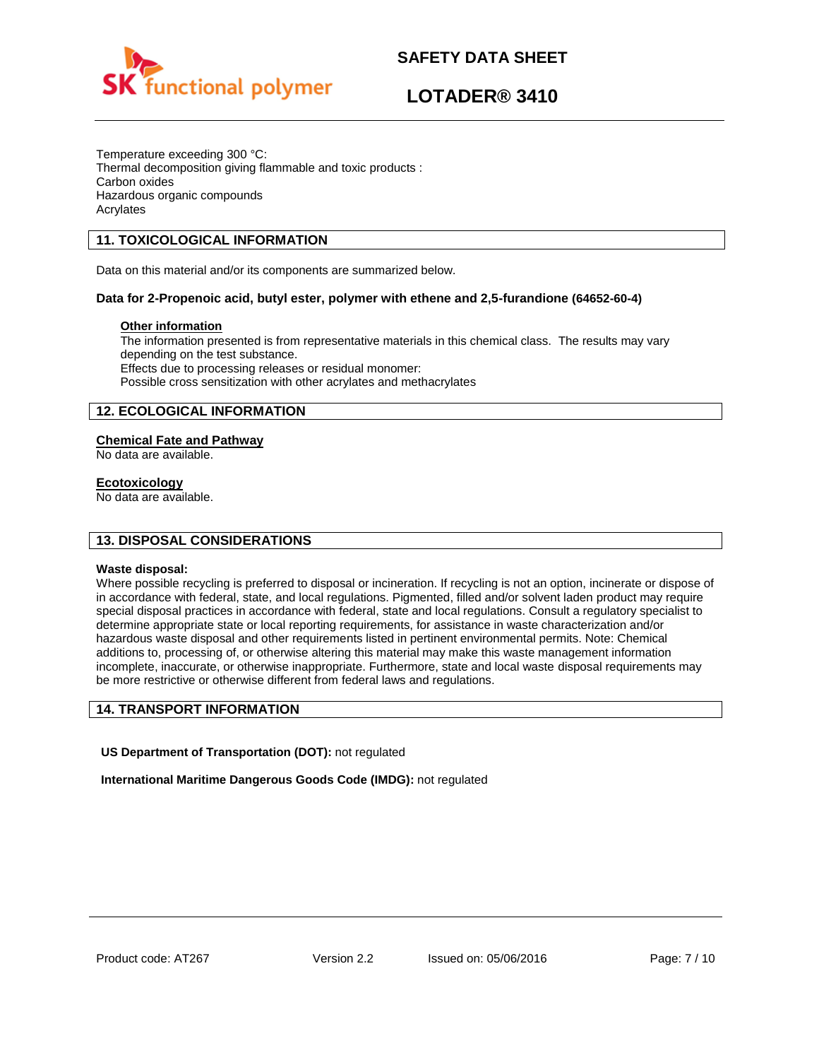

# **LOTADER® 3410**

Temperature exceeding 300 °C: Thermal decomposition giving flammable and toxic products : Carbon oxides Hazardous organic compounds Acrylates

# **11. TOXICOLOGICAL INFORMATION**

Data on this material and/or its components are summarized below.

### **Data for 2-Propenoic acid, butyl ester, polymer with ethene and 2,5-furandione (64652-60-4)**

### **Other information**

The information presented is from representative materials in this chemical class. The results may vary depending on the test substance. Effects due to processing releases or residual monomer: Possible cross sensitization with other acrylates and methacrylates

# **12. ECOLOGICAL INFORMATION**

### **Chemical Fate and Pathway**

No data are available.

### **Ecotoxicology**

No data are available.

# **13. DISPOSAL CONSIDERATIONS**

### **Waste disposal:**

Where possible recycling is preferred to disposal or incineration. If recycling is not an option, incinerate or dispose of in accordance with federal, state, and local regulations. Pigmented, filled and/or solvent laden product may require special disposal practices in accordance with federal, state and local regulations. Consult a regulatory specialist to determine appropriate state or local reporting requirements, for assistance in waste characterization and/or hazardous waste disposal and other requirements listed in pertinent environmental permits. Note: Chemical additions to, processing of, or otherwise altering this material may make this waste management information incomplete, inaccurate, or otherwise inappropriate. Furthermore, state and local waste disposal requirements may be more restrictive or otherwise different from federal laws and regulations.

# **14. TRANSPORT INFORMATION**

**US Department of Transportation (DOT):** not regulated

**International Maritime Dangerous Goods Code (IMDG):** not regulated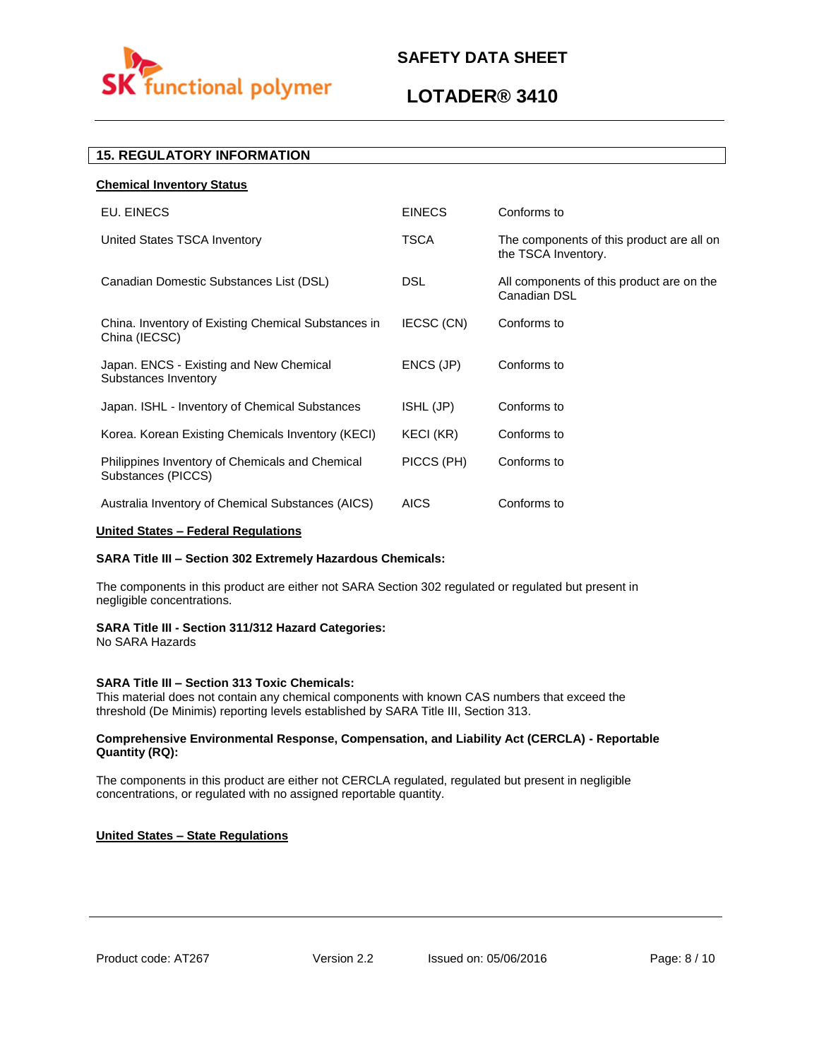

# **LOTADER® 3410**

# **15. REGULATORY INFORMATION**

| <b>Chemical Inventory Status</b>                                      |               |                                                                  |
|-----------------------------------------------------------------------|---------------|------------------------------------------------------------------|
| EU. EINECS                                                            | <b>EINECS</b> | Conforms to                                                      |
| United States TSCA Inventory                                          | <b>TSCA</b>   | The components of this product are all on<br>the TSCA Inventory. |
| Canadian Domestic Substances List (DSL)                               | <b>DSL</b>    | All components of this product are on the<br>Canadian DSL        |
| China. Inventory of Existing Chemical Substances in<br>China (IECSC)  | IECSC (CN)    | Conforms to                                                      |
| Japan. ENCS - Existing and New Chemical<br>Substances Inventory       | ENCS (JP)     | Conforms to                                                      |
| Japan. ISHL - Inventory of Chemical Substances                        | ISHL (JP)     | Conforms to                                                      |
| Korea. Korean Existing Chemicals Inventory (KECI)                     | KECI (KR)     | Conforms to                                                      |
| Philippines Inventory of Chemicals and Chemical<br>Substances (PICCS) | PICCS (PH)    | Conforms to                                                      |
| Australia Inventory of Chemical Substances (AICS)                     | <b>AICS</b>   | Conforms to                                                      |

### **United States – Federal Regulations**

### **SARA Title III – Section 302 Extremely Hazardous Chemicals:**

The components in this product are either not SARA Section 302 regulated or regulated but present in negligible concentrations.

### **SARA Title III - Section 311/312 Hazard Categories:**

No SARA Hazards

### **SARA Title III – Section 313 Toxic Chemicals:**

This material does not contain any chemical components with known CAS numbers that exceed the threshold (De Minimis) reporting levels established by SARA Title III, Section 313.

### **Comprehensive Environmental Response, Compensation, and Liability Act (CERCLA) - Reportable Quantity (RQ):**

The components in this product are either not CERCLA regulated, regulated but present in negligible concentrations, or regulated with no assigned reportable quantity.

### **United States – State Regulations**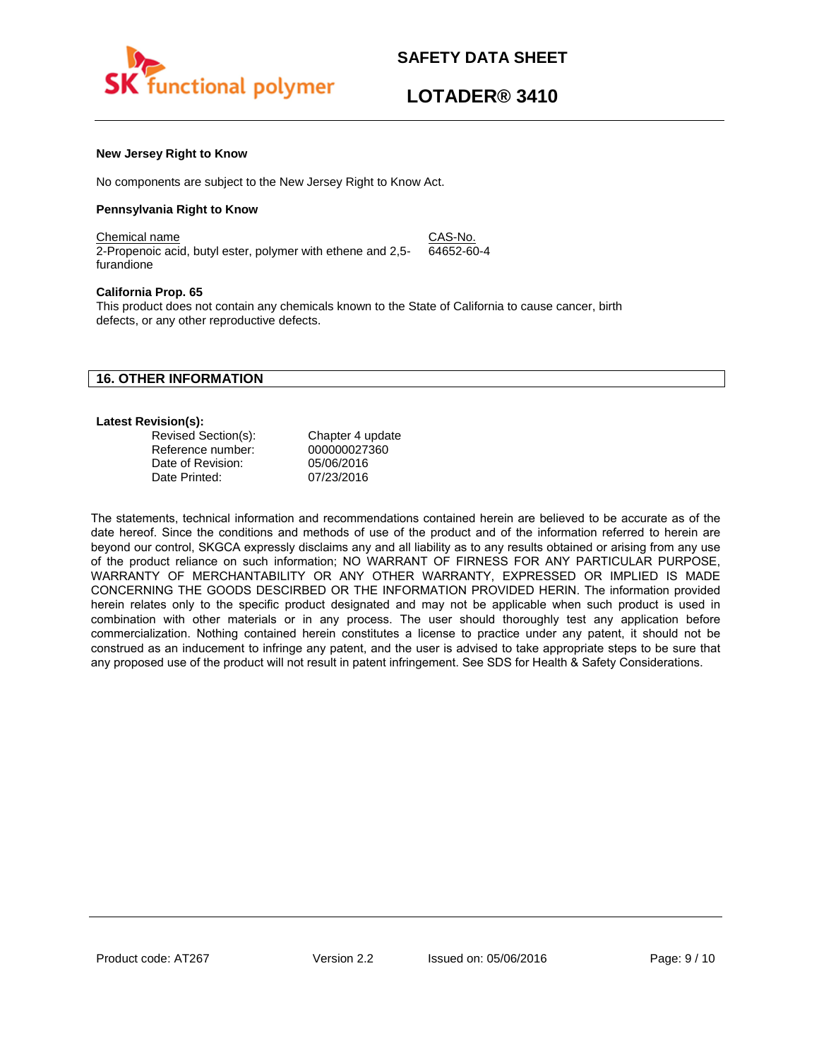

### **New Jersey Right to Know**

No components are subject to the New Jersey Right to Know Act.

### **Pennsylvania Right to Know**

Chemical name CAS-No. 2-Propenoic acid, butyl ester, polymer with ethene and 2,5 furandione 64652-60-4

#### **California Prop. 65**

This product does not contain any chemicals known to the State of California to cause cancer, birth defects, or any other reproductive defects.

### **16. OTHER INFORMATION**

#### **Latest Revision(s):**

| Revised Section(s): | Chapter 4 update |
|---------------------|------------------|
| Reference number:   | 000000027360     |
| Date of Revision:   | 05/06/2016       |
| Date Printed:       | 07/23/2016       |

The statements, technical information and recommendations contained herein are believed to be accurate as of the date hereof. Since the conditions and methods of use of the product and of the information referred to herein are beyond our control, SKGCA expressly disclaims any and all liability as to any results obtained or arising from any use of the product reliance on such information; NO WARRANT OF FIRNESS FOR ANY PARTICULAR PURPOSE, WARRANTY OF MERCHANTABILITY OR ANY OTHER WARRANTY, EXPRESSED OR IMPLIED IS MADE CONCERNING THE GOODS DESCIRBED OR THE INFORMATION PROVIDED HERIN. The information provided herein relates only to the specific product designated and may not be applicable when such product is used in combination with other materials or in any process. The user should thoroughly test any application before commercialization. Nothing contained herein constitutes a license to practice under any patent, it should not be construed as an inducement to infringe any patent, and the user is advised to take appropriate steps to be sure that any proposed use of the product will not result in patent infringement. See SDS for Health & Safety Considerations.